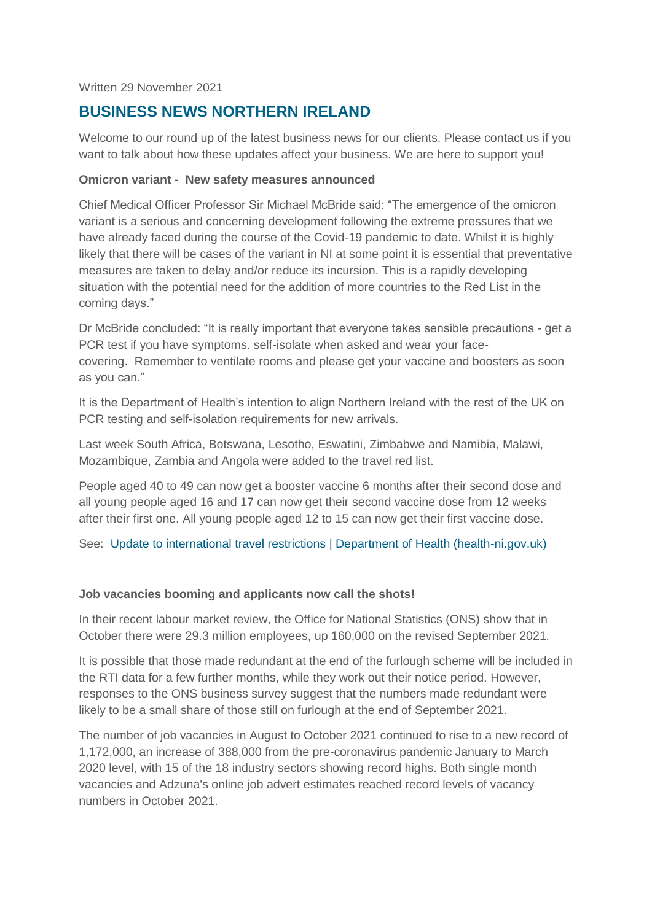Written 29 November 2021

# **BUSINESS NEWS NORTHERN IRELAND**

Welcome to our round up of the latest business news for our clients. Please contact us if you want to talk about how these updates affect your business. We are here to support you!

#### **Omicron variant - New safety measures announced**

Chief Medical Officer Professor Sir Michael McBride said: "The emergence of the omicron variant is a serious and concerning development following the extreme pressures that we have already faced during the course of the Covid-19 pandemic to date. Whilst it is highly likely that there will be cases of the variant in NI at some point it is essential that preventative measures are taken to delay and/or reduce its incursion. This is a rapidly developing situation with the potential need for the addition of more countries to the Red List in the coming days."

Dr McBride concluded: "It is really important that everyone takes sensible precautions - get a PCR test if you have symptoms. self-isolate when asked and wear your facecovering. Remember to ventilate rooms and please get your vaccine and boosters as soon as you can."

It is the Department of Health's intention to align Northern Ireland with the rest of the UK on PCR testing and self-isolation requirements for new arrivals.

Last week South Africa, Botswana, Lesotho, Eswatini, Zimbabwe and Namibia, Malawi, Mozambique, Zambia and Angola were added to the travel red list.

People aged 40 to 49 can now get a booster vaccine 6 months after their second dose and all young people aged 16 and 17 can now get their second vaccine dose from 12 weeks after their first one. All young people aged 12 to 15 can now get their first vaccine dose.

See: [Update to international travel restrictions | Department of Health \(health-ni.gov.uk\)](http://www.health-ni.gov.uk/news/update-international-travel-restrictions)

#### **Job vacancies booming and applicants now call the shots!**

In their recent labour market review, the Office for National Statistics (ONS) show that in October there were 29.3 million employees, up 160,000 on the revised September 2021.

It is possible that those made redundant at the end of the furlough scheme will be included in the RTI data for a few further months, while they work out their notice period. However, responses to the ONS business survey suggest that the numbers made redundant were likely to be a small share of those still on furlough at the end of September 2021.

The number of job vacancies in August to October 2021 continued to rise to a new record of 1,172,000, an increase of 388,000 from the pre-coronavirus pandemic January to March 2020 level, with 15 of the 18 industry sectors showing record highs. Both single month vacancies and Adzuna's online job advert estimates reached record levels of vacancy numbers in October 2021.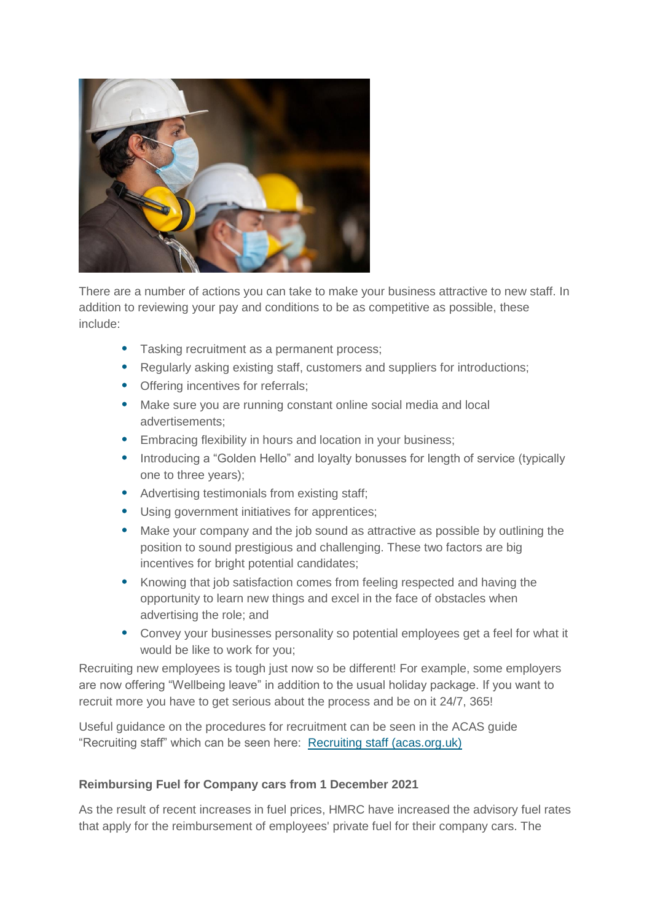

There are a number of actions you can take to make your business attractive to new staff. In addition to reviewing your pay and conditions to be as competitive as possible, these include:

- Tasking recruitment as a permanent process;
- Regularly asking existing staff, customers and suppliers for introductions;
- Offering incentives for referrals;
- Make sure you are running constant online social media and local advertisements;
- Embracing flexibility in hours and location in your business;
- Introducing a "Golden Hello" and loyalty bonusses for length of service (typically one to three years);
- Advertising testimonials from existing staff;
- Using government initiatives for apprentices;
- Make your company and the job sound as attractive as possible by outlining the position to sound prestigious and challenging. These two factors are big incentives for bright potential candidates;
- Knowing that job satisfaction comes from feeling respected and having the opportunity to learn new things and excel in the face of obstacles when advertising the role; and
- Convey your businesses personality so potential employees get a feel for what it would be like to work for you;

Recruiting new employees is tough just now so be different! For example, some employers are now offering "Wellbeing leave" in addition to the usual holiday package. If you want to recruit more you have to get serious about the process and be on it 24/7, 365!

Useful guidance on the procedures for recruitment can be seen in the ACAS guide "Recruiting staff" which can be seen here: [Recruiting staff \(acas.org.uk\)](https://www.acas.org.uk/sites/default/files/2019-03/Recruiting_staff_guide.pdf)

#### **Reimbursing Fuel for Company cars from 1 December 2021**

As the result of recent increases in fuel prices, HMRC have increased the advisory fuel rates that apply for the reimbursement of employees' private fuel for their company cars. The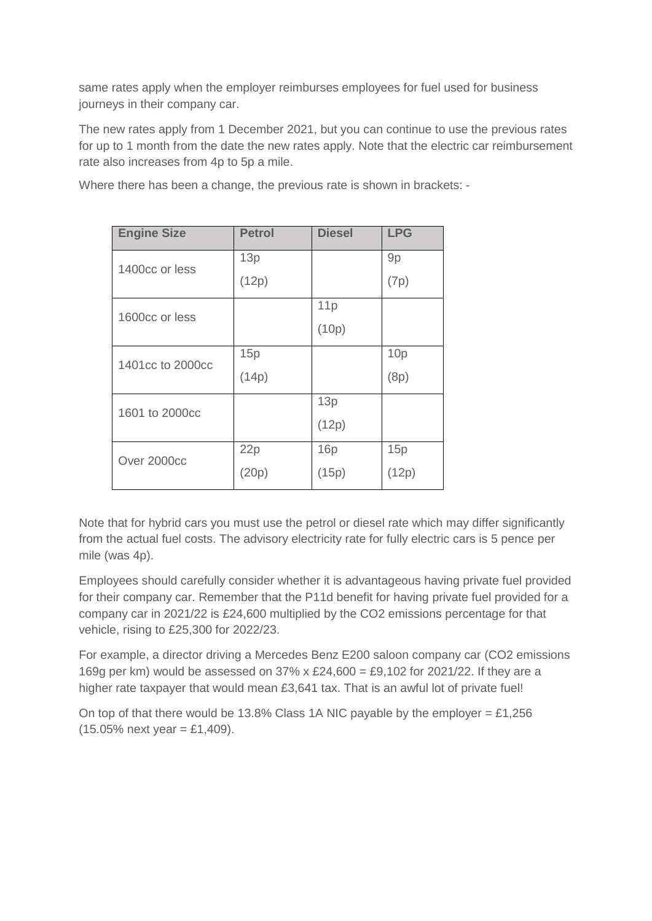same rates apply when the employer reimburses employees for fuel used for business journeys in their company car.

The new rates apply from 1 December 2021, but you can continue to use the previous rates for up to 1 month from the date the new rates apply. Note that the electric car reimbursement rate also increases from 4p to 5p a mile.

Where there has been a change, the previous rate is shown in brackets: -

| <b>Engine Size</b> | <b>Petrol</b> | <b>Diesel</b> | <b>LPG</b> |
|--------------------|---------------|---------------|------------|
| 1400cc or less     | 13p           |               | 9p         |
|                    | (12p)         |               | (7p)       |
| 1600cc or less     |               | 11p           |            |
|                    |               | (10p)         |            |
| 1401cc to 2000cc   | 15p           |               | 10p        |
|                    | (14p)         |               | (8p)       |
| 1601 to 2000cc     |               | 13p           |            |
|                    |               | (12p)         |            |
| Over 2000cc        | 22p           | 16p           | 15p        |
|                    | (20p)         | (15p)         | (12p)      |

Note that for hybrid cars you must use the petrol or diesel rate which may differ significantly from the actual fuel costs. The advisory electricity rate for fully electric cars is 5 pence per mile (was 4p).

Employees should carefully consider whether it is advantageous having private fuel provided for their company car. Remember that the P11d benefit for having private fuel provided for a company car in 2021/22 is £24,600 multiplied by the CO2 emissions percentage for that vehicle, rising to £25,300 for 2022/23.

For example, a director driving a Mercedes Benz E200 saloon company car (CO2 emissions 169g per km) would be assessed on  $37\% \times £24,600 = £9,102$  for  $2021/22$ . If they are a higher rate taxpayer that would mean £3,641 tax. That is an awful lot of private fuel!

On top of that there would be 13.8% Class 1A NIC payable by the employer = £1,256  $(15.05\% \text{ next year} = \text{\textsterling}1,409).$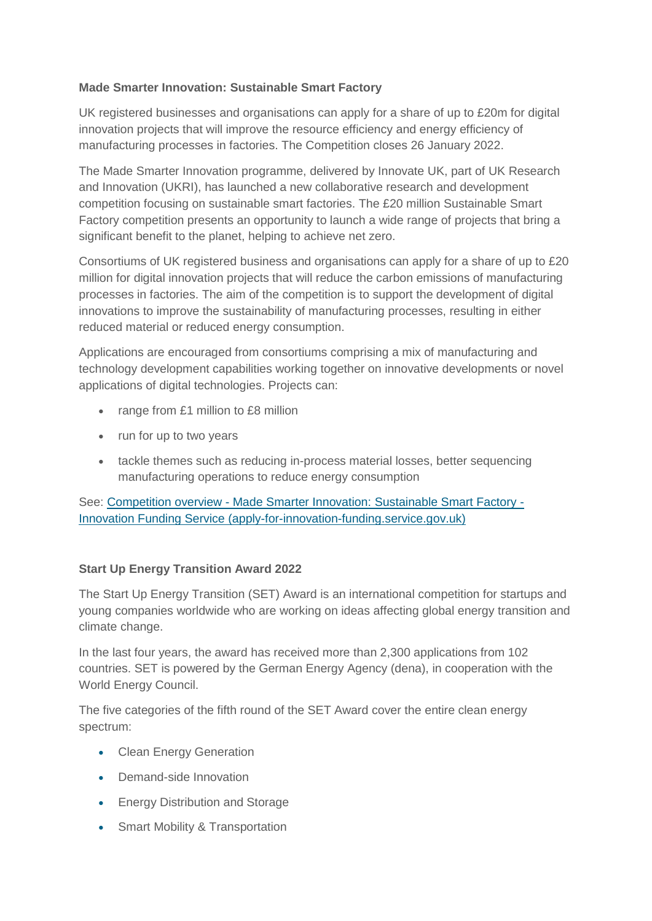## **Made Smarter Innovation: Sustainable Smart Factory**

UK registered businesses and organisations can apply for a share of up to £20m for digital innovation projects that will improve the resource efficiency and energy efficiency of manufacturing processes in factories. The Competition closes 26 January 2022.

The Made Smarter Innovation programme, delivered by Innovate UK, part of UK Research and Innovation (UKRI), has launched a new collaborative research and development competition focusing on sustainable smart factories. The £20 million Sustainable Smart Factory competition presents an opportunity to launch a wide range of projects that bring a significant benefit to the planet, helping to achieve net zero.

Consortiums of UK registered business and organisations can apply for a share of up to £20 million for digital innovation projects that will reduce the carbon emissions of manufacturing processes in factories. The aim of the competition is to support the development of digital innovations to improve the sustainability of manufacturing processes, resulting in either reduced material or reduced energy consumption.

Applications are encouraged from consortiums comprising a mix of manufacturing and technology development capabilities working together on innovative developments or novel applications of digital technologies. Projects can:

- range from £1 million to £8 million
- run for up to two years
- tackle themes such as reducing in-process material losses, better sequencing manufacturing operations to reduce energy consumption

See: Competition overview - [Made Smarter Innovation: Sustainable Smart Factory -](https://apply-for-innovation-funding.service.gov.uk/competition/1063/overview) [Innovation Funding Service \(apply-for-innovation-funding.service.gov.uk\)](https://apply-for-innovation-funding.service.gov.uk/competition/1063/overview)

## **Start Up Energy Transition Award 2022**

The Start Up Energy Transition (SET) Award is an international competition for startups and young companies worldwide who are working on ideas affecting global energy transition and climate change.

In the last four years, the award has received more than 2,300 applications from 102 countries. SET is powered by the German Energy Agency (dena), in cooperation with the World Energy Council.

The five categories of the fifth round of the SET Award cover the entire clean energy spectrum:

- Clean Energy Generation
- Demand-side Innovation
- Energy Distribution and Storage
- Smart Mobility & Transportation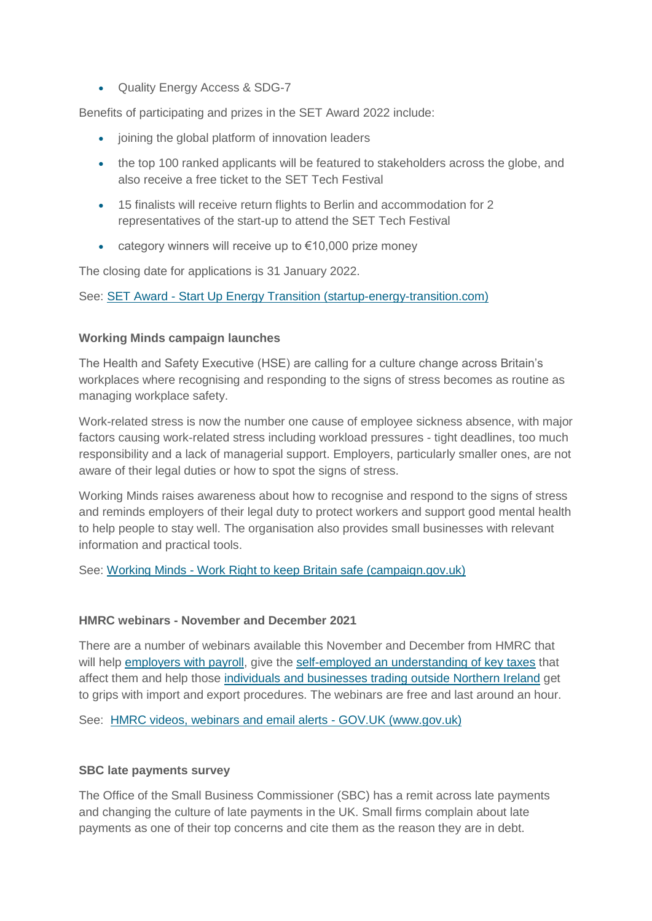Quality Energy Access & SDG-7

Benefits of participating and prizes in the SET Award 2022 include:

- joining the global platform of innovation leaders
- the top 100 ranked applicants will be featured to stakeholders across the globe, and also receive a free ticket to the SET Tech Festival
- 15 finalists will receive return flights to Berlin and accommodation for 2 representatives of the start-up to attend the SET Tech Festival
- $\bullet$  category winners will receive up to €10,000 prize money

The closing date for applications is 31 January 2022.

See: SET Award - [Start Up Energy Transition \(startup-energy-transition.com\)](https://www.startup-energy-transition.com/set-award/)

### **Working Minds campaign launches**

The Health and Safety Executive (HSE) are calling for a culture change across Britain's workplaces where recognising and responding to the signs of stress becomes as routine as managing workplace safety.

Work-related stress is now the number one cause of employee sickness absence, with major factors causing work-related stress including workload pressures - tight deadlines, too much responsibility and a lack of managerial support. Employers, particularly smaller ones, are not aware of their legal duties or how to spot the signs of stress.

Working Minds raises awareness about how to recognise and respond to the signs of stress and reminds employers of their legal duty to protect workers and support good mental health to help people to stay well. The organisation also provides small businesses with relevant information and practical tools.

See: Working Minds - [Work Right to keep Britain safe \(campaign.gov.uk\)](https://workright.campaign.gov.uk/campaigns/working-minds/?utm_source=govdelivery&utm_medium=email&utm_campaign=working-minds&utm_content=stress-17-nov-21)

#### **HMRC webinars - November and December 2021**

There are a number of webinars available this November and December from HMRC that will help [employers with payroll,](https://www.nibusinessinfo.co.uk/content/hmrc-webinars-november-and-december-2021#employers) give the [self-employed an understanding of key taxes](https://www.nibusinessinfo.co.uk/content/hmrc-webinars-november-and-december-2021#self-employed) that affect them and help those [individuals and businesses trading outside Northern Ireland](https://www.nibusinessinfo.co.uk/content/hmrc-webinars-november-and-december-2021#trade) get to grips with import and export procedures. The webinars are free and last around an hour.

See: [HMRC videos, webinars and email alerts -](https://www.gov.uk/government/collections/hmrc-webinars-email-alerts-and-videos) GOV.UK (www.gov.uk)

## **SBC late payments survey**

The Office of the Small Business Commissioner (SBC) has a remit across late payments and changing the culture of late payments in the UK. Small firms complain about late payments as one of their top concerns and cite them as the reason they are in debt.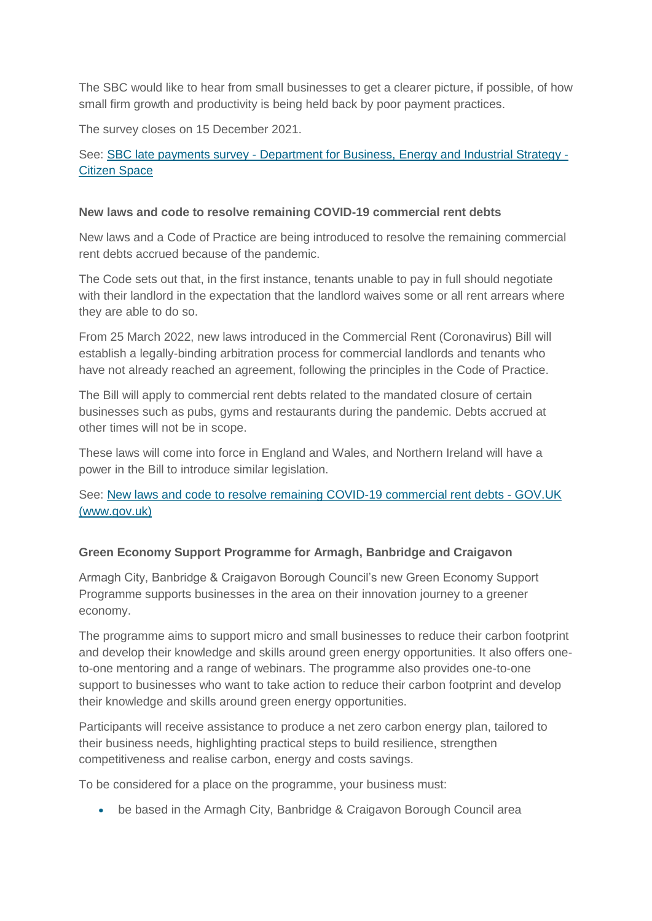The SBC would like to hear from small businesses to get a clearer picture, if possible, of how small firm growth and productivity is being held back by poor payment practices.

The survey closes on 15 December 2021.

See: SBC late payments survey - [Department for Business, Energy and Industrial Strategy -](https://beisgovuk.citizenspace.com/business-growth/sbc-late-payments-survey/) [Citizen Space](https://beisgovuk.citizenspace.com/business-growth/sbc-late-payments-survey/)

#### **New laws and code to resolve remaining COVID-19 commercial rent debts**

New laws and a Code of Practice are being introduced to resolve the remaining commercial rent debts accrued because of the pandemic.

The Code sets out that, in the first instance, tenants unable to pay in full should negotiate with their landlord in the expectation that the landlord waives some or all rent arrears where they are able to do so.

From 25 March 2022, new laws introduced in the Commercial Rent (Coronavirus) Bill will establish a legally-binding arbitration process for commercial landlords and tenants who have not already reached an agreement, following the principles in the Code of Practice.

The Bill will apply to commercial rent debts related to the mandated closure of certain businesses such as pubs, gyms and restaurants during the pandemic. Debts accrued at other times will not be in scope.

These laws will come into force in England and Wales, and Northern Ireland will have a power in the Bill to introduce similar legislation.

See: [New laws and code to resolve remaining COVID-19 commercial rent debts -](https://www.gov.uk/government/news/new-laws-and-code-to-resolve-remaining-covid-19-commercial-rent-debts) GOV.UK [\(www.gov.uk\)](https://www.gov.uk/government/news/new-laws-and-code-to-resolve-remaining-covid-19-commercial-rent-debts)

## **Green Economy Support Programme for Armagh, Banbridge and Craigavon**

Armagh City, Banbridge & Craigavon Borough Council's new Green Economy Support Programme supports businesses in the area on their innovation journey to a greener economy.

The programme aims to support micro and small businesses to reduce their carbon footprint and develop their knowledge and skills around green energy opportunities. It also offers oneto-one mentoring and a range of webinars. The programme also provides one-to-one support to businesses who want to take action to reduce their carbon footprint and develop their knowledge and skills around green energy opportunities.

Participants will receive assistance to produce a net zero carbon energy plan, tailored to their business needs, highlighting practical steps to build resilience, strengthen competitiveness and realise carbon, energy and costs savings.

To be considered for a place on the programme, your business must:

be based in the Armagh City, Banbridge & Craigavon Borough Council area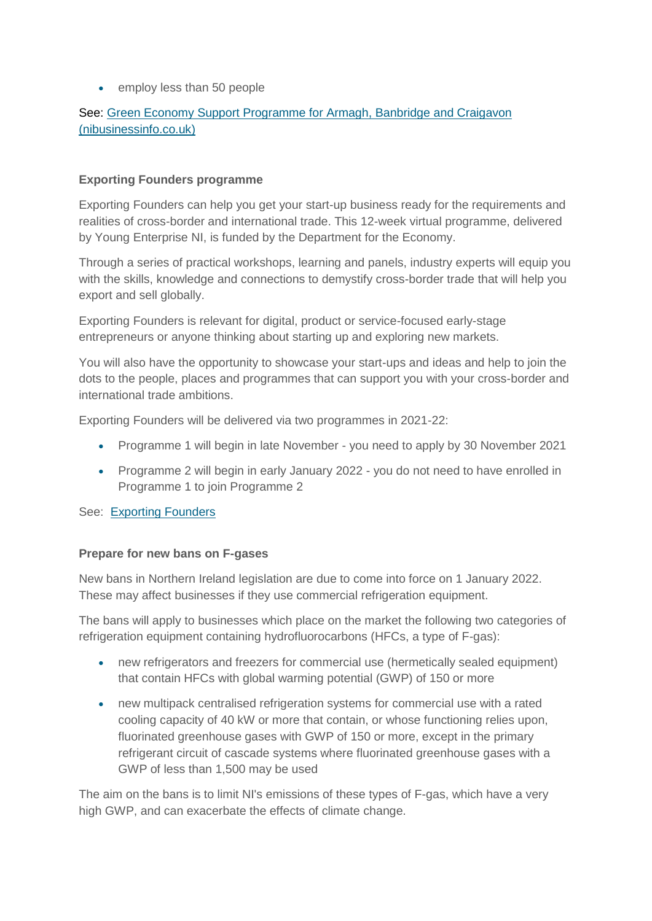• employ less than 50 people

## See: [Green Economy Support Programme for Armagh, Banbridge and Craigavon](https://www.nibusinessinfo.co.uk/content/green-economy-support-programme-armagh-banbridge-and-craigavon)  [\(nibusinessinfo.co.uk\)](https://www.nibusinessinfo.co.uk/content/green-economy-support-programme-armagh-banbridge-and-craigavon)

#### **Exporting Founders programme**

Exporting Founders can help you get your start-up business ready for the requirements and realities of cross-border and international trade. This 12-week virtual programme, delivered by Young Enterprise NI, is funded by the Department for the Economy.

Through a series of practical workshops, learning and panels, industry experts will equip you with the skills, knowledge and connections to demystify cross-border trade that will help you export and sell globally.

Exporting Founders is relevant for digital, product or service-focused early-stage entrepreneurs or anyone thinking about starting up and exploring new markets.

You will also have the opportunity to showcase your start-ups and ideas and help to join the dots to the people, places and programmes that can support you with your cross-border and international trade ambitions.

Exporting Founders will be delivered via two programmes in 2021-22:

- Programme 1 will begin in late November you need to apply by 30 November 2021
- Programme 2 will begin in early January 2022 you do not need to have enrolled in Programme 1 to join Programme 2

See: [Exporting Founders](https://www.exportingfounders.com/2022)

#### **Prepare for new bans on F-gases**

New bans in Northern Ireland legislation are due to come into force on 1 January 2022. These may affect businesses if they use commercial refrigeration equipment.

The bans will apply to businesses which place on the market the following two categories of refrigeration equipment containing hydrofluorocarbons (HFCs, a type of F-gas):

- new refrigerators and freezers for commercial use (hermetically sealed equipment) that contain HFCs with global warming potential (GWP) of 150 or more
- new multipack centralised refrigeration systems for commercial use with a rated cooling capacity of 40 kW or more that contain, or whose functioning relies upon, fluorinated greenhouse gases with GWP of 150 or more, except in the primary refrigerant circuit of cascade systems where fluorinated greenhouse gases with a GWP of less than 1,500 may be used

The aim on the bans is to limit NI's emissions of these types of F-gas, which have a very high GWP, and can exacerbate the effects of climate change.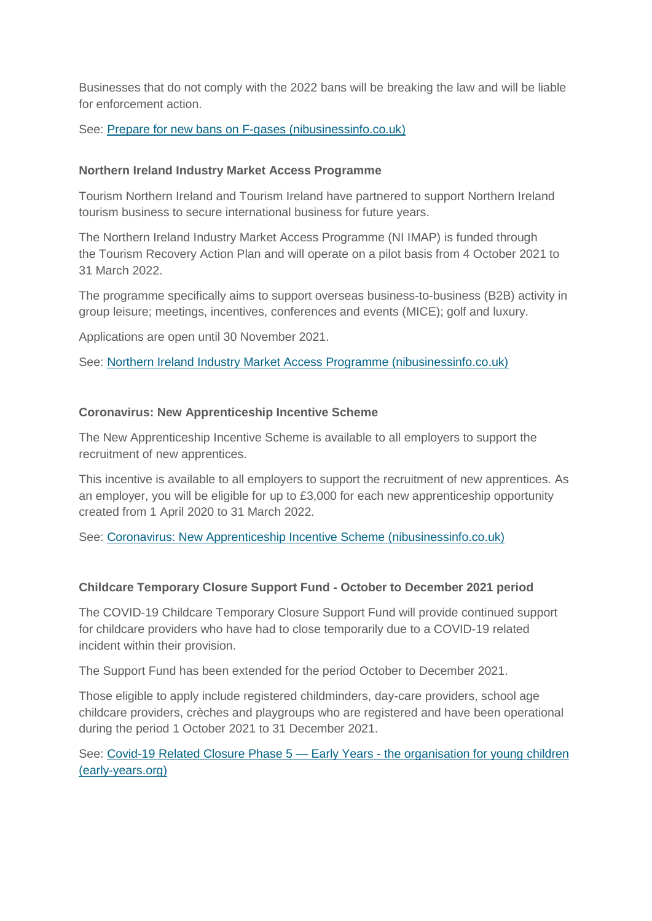Businesses that do not comply with the 2022 bans will be breaking the law and will be liable for enforcement action.

#### See: [Prepare for new bans on F-gases \(nibusinessinfo.co.uk\)](https://www.nibusinessinfo.co.uk/content/prepare-new-bans-f-gases)

#### **Northern Ireland Industry Market Access Programme**

Tourism Northern Ireland and Tourism Ireland have partnered to support Northern Ireland tourism business to secure international business for future years.

The Northern Ireland Industry Market Access Programme (NI IMAP) is funded through the Tourism Recovery Action Plan and will operate on a pilot basis from 4 October 2021 to 31 March 2022.

The programme specifically aims to support overseas business-to-business (B2B) activity in group leisure; meetings, incentives, conferences and events (MICE); golf and luxury.

Applications are open until 30 November 2021.

See: [Northern Ireland Industry Market Access Programme \(nibusinessinfo.co.uk\)](https://www.nibusinessinfo.co.uk/content/northern-ireland-industry-market-access-programme)

### **Coronavirus: New Apprenticeship Incentive Scheme**

The New Apprenticeship Incentive Scheme is available to all employers to support the recruitment of new apprentices.

This incentive is available to all employers to support the recruitment of new apprentices. As an employer, you will be eligible for up to £3,000 for each new apprenticeship opportunity created from 1 April 2020 to 31 March 2022.

See: [Coronavirus: New Apprenticeship Incentive Scheme \(nibusinessinfo.co.uk\)](https://www.nibusinessinfo.co.uk/content/coronavirus-new-apprenticeship-incentive-scheme)

## **Childcare Temporary Closure Support Fund - October to December 2021 period**

The COVID-19 Childcare Temporary Closure Support Fund will provide continued support for childcare providers who have had to close temporarily due to a COVID-19 related incident within their provision.

The Support Fund has been extended for the period October to December 2021.

Those eligible to apply include registered childminders, day-care providers, school age childcare providers, crèches and playgroups who are registered and have been operational during the period 1 October 2021 to 31 December 2021.

See: [Covid-19 Related Closure Phase 5 —](https://www.early-years.org/covid-related-closure-fund-phase-5) Early Years - the organisation for young children [\(early-years.org\)](https://www.early-years.org/covid-related-closure-fund-phase-5)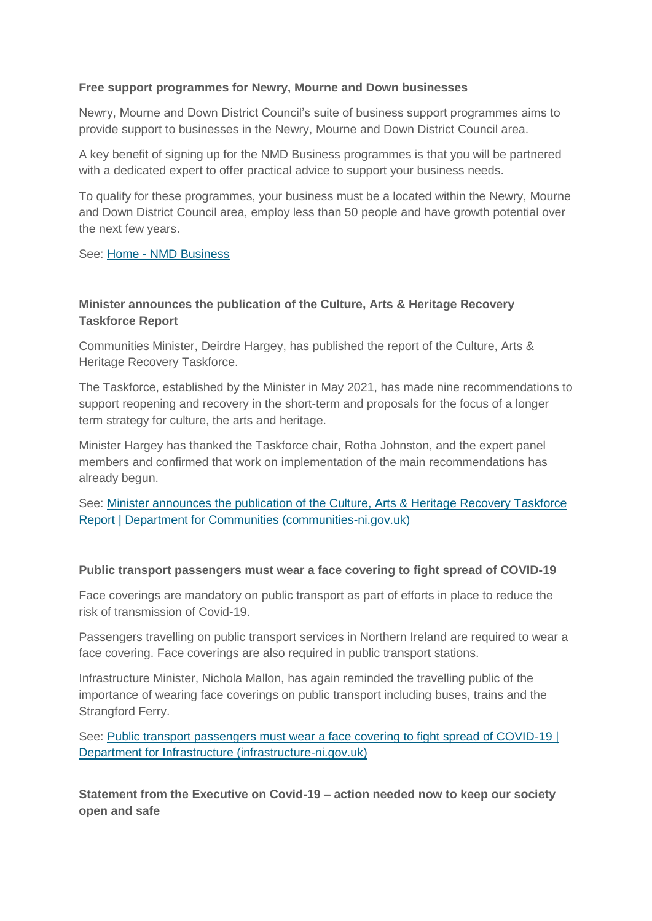#### **Free support programmes for Newry, Mourne and Down businesses**

Newry, Mourne and Down District Council's suite of business support programmes aims to provide support to businesses in the Newry, Mourne and Down District Council area.

A key benefit of signing up for the NMD Business programmes is that you will be partnered with a dedicated expert to offer practical advice to support your business needs.

To qualify for these programmes, your business must be a located within the Newry, Mourne and Down District Council area, employ less than 50 people and have growth potential over the next few years.

See: Home - [NMD Business](http://nmdbusiness.org/)

## **Minister announces the publication of the Culture, Arts & Heritage Recovery Taskforce Report**

Communities Minister, Deirdre Hargey, has published the report of the Culture, Arts & Heritage Recovery Taskforce.

The Taskforce, established by the Minister in May 2021, has made nine recommendations to support reopening and recovery in the short-term and proposals for the focus of a longer term strategy for culture, the arts and heritage.

Minister Hargey has thanked the Taskforce chair, Rotha Johnston, and the expert panel members and confirmed that work on implementation of the main recommendations has already begun.

See: [Minister announces the publication of the Culture, Arts & Heritage Recovery Taskforce](http://www.communities-ni.gov.uk/news/minister-announces-publication-culture-arts-heritage-recovery-taskforce-report)  [Report | Department for Communities \(communities-ni.gov.uk\)](http://www.communities-ni.gov.uk/news/minister-announces-publication-culture-arts-heritage-recovery-taskforce-report)

## **Public transport passengers must wear a face covering to fight spread of COVID-19**

Face coverings are mandatory on public transport as part of efforts in place to reduce the risk of transmission of Covid-19.

Passengers travelling on public transport services in Northern Ireland are required to wear a face covering. Face coverings are also required in public transport stations.

Infrastructure Minister, Nichola Mallon, has again reminded the travelling public of the importance of wearing face coverings on public transport including buses, trains and the Strangford Ferry.

See: [Public transport passengers must wear a face covering to fight spread of COVID-19 |](http://www.infrastructure-ni.gov.uk/news/public-transport-passengers-must-wear-face-covering-fight-spread-covid-19)  [Department for Infrastructure \(infrastructure-ni.gov.uk\)](http://www.infrastructure-ni.gov.uk/news/public-transport-passengers-must-wear-face-covering-fight-spread-covid-19)

**Statement from the Executive on Covid-19 – action needed now to keep our society open and safe**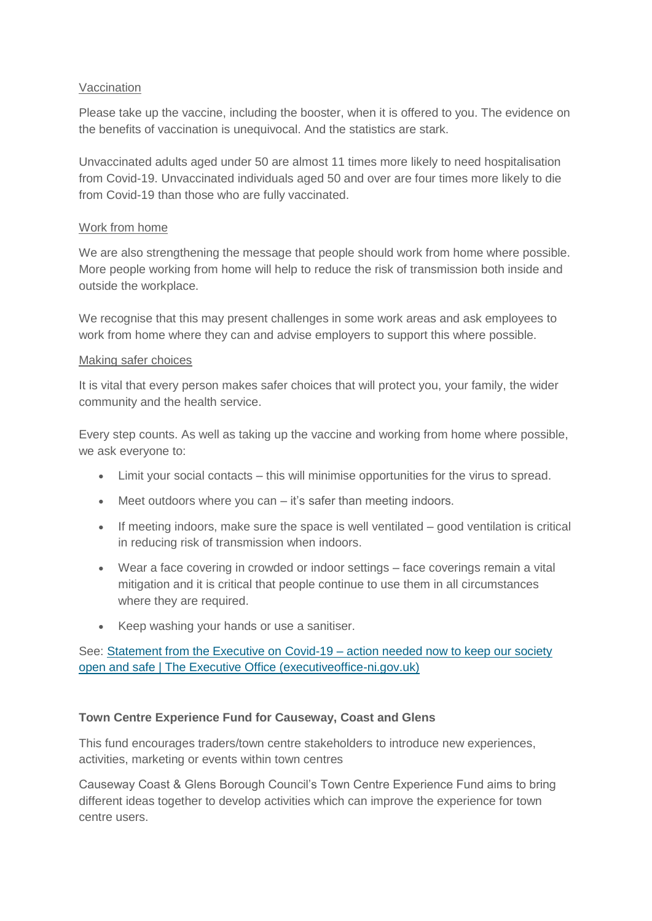### Vaccination

Please take up the vaccine, including the booster, when it is offered to you. The evidence on the benefits of vaccination is unequivocal. And the statistics are stark.

Unvaccinated adults aged under 50 are almost 11 times more likely to need hospitalisation from Covid-19. Unvaccinated individuals aged 50 and over are four times more likely to die from Covid-19 than those who are fully vaccinated.

#### Work from home

We are also strengthening the message that people should work from home where possible. More people working from home will help to reduce the risk of transmission both inside and outside the workplace.

We recognise that this may present challenges in some work areas and ask employees to work from home where they can and advise employers to support this where possible.

#### Making safer choices

It is vital that every person makes safer choices that will protect you, your family, the wider community and the health service.

Every step counts. As well as taking up the vaccine and working from home where possible, we ask everyone to:

- Limit your social contacts this will minimise opportunities for the virus to spread.
- Meet outdoors where you can it's safer than meeting indoors.
- If meeting indoors, make sure the space is well ventilated good ventilation is critical in reducing risk of transmission when indoors.
- Wear a face covering in crowded or indoor settings face coverings remain a vital mitigation and it is critical that people continue to use them in all circumstances where they are required.
- Keep washing your hands or use a sanitiser.

## See: [Statement from the Executive on Covid-19 –](http://www.executiveoffice-ni.gov.uk/news/statement-executive-covid-19-action-needed-now-keep-our-society-open-and-safe) action needed now to keep our society [open and safe | The Executive Office \(executiveoffice-ni.gov.uk\)](http://www.executiveoffice-ni.gov.uk/news/statement-executive-covid-19-action-needed-now-keep-our-society-open-and-safe)

## **Town Centre Experience Fund for Causeway, Coast and Glens**

This fund encourages traders/town centre stakeholders to introduce new experiences, activities, marketing or events within town centres

Causeway Coast & Glens Borough Council's Town Centre Experience Fund aims to bring different ideas together to develop activities which can improve the experience for town centre users.